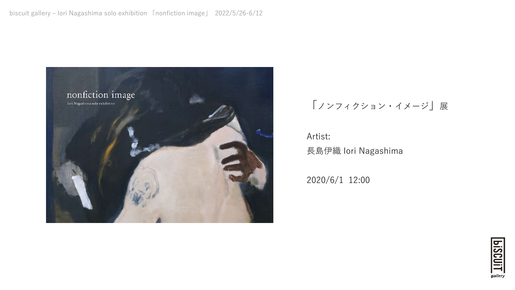

## 「ノンフィクション・イメージ」展

## Artist: ⻑島伊織 Iori Nagashima

2020/6/1 12:00

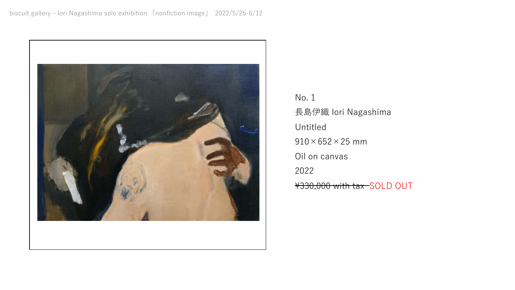

No. 1 ⻑島伊織 Iori Nagashima Untitled  $910\times652\times25$  mm Oil on canvas 2022 \330,000 with tax SOLD OUT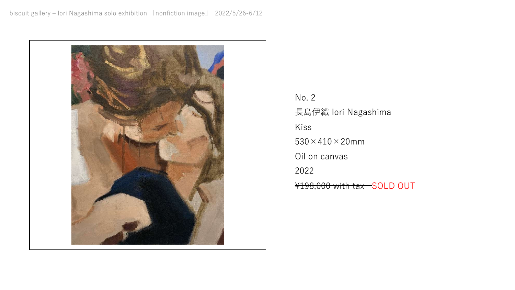

No. 2 ⻑島伊織 Iori Nagashima Kiss  $530 \times 410 \times 20$ mm Oil on canvas 2022 ¥198,000 with tax SOLD OUT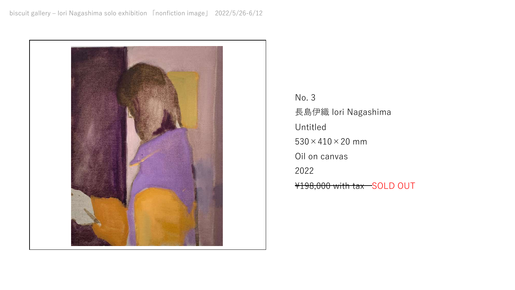

No. 3 ⻑島伊織 Iori Nagashima Untitled  $530 \times 410 \times 20$  mm Oil on canvas 2022 ¥198,000 with tax SOLD OUT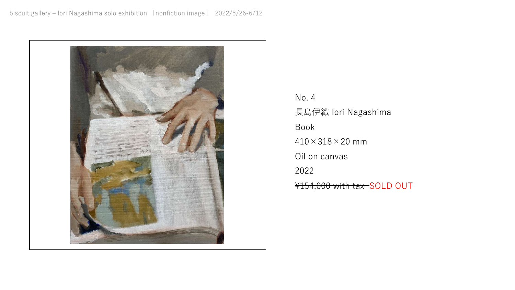

No. 4 ⻑島伊織 Iori Nagashima Book  $410 \times 318 \times 20$  mm Oil on canvas 2022 ¥154,000 with tax SOLD OUT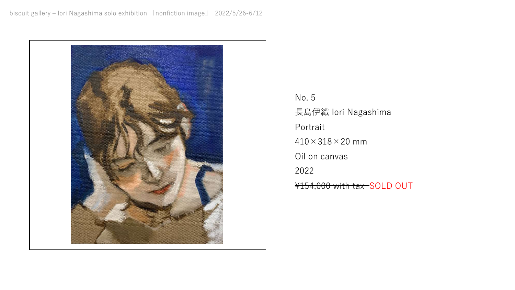

No. 5 ⻑島伊織 Iori Nagashima Portrait  $410 \times 318 \times 20$  mm Oil on canvas 2022 \154,000 with tax SOLD OUT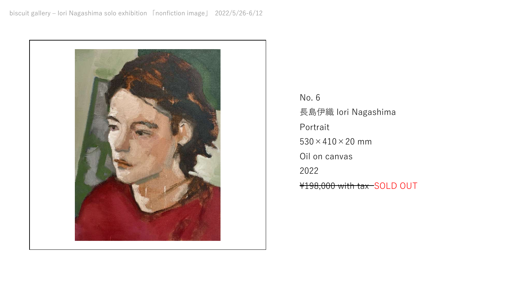

No. 6 ⻑島伊織 Iori Nagashima Portrait  $530 \times 410 \times 20$  mm Oil on canvas 2022 ¥198,000 with tax SOLD OUT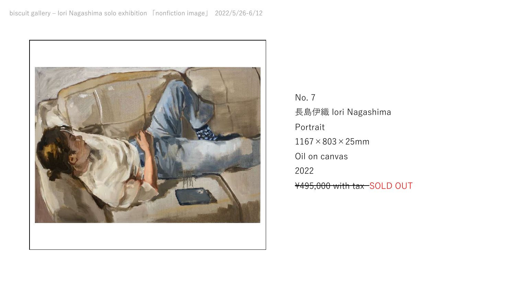

No. 7 ⻑島伊織 Iori Nagashima Portrait  $1167\times803\times25$ mm Oil on canvas 2022 \495,000 with tax SOLD OUT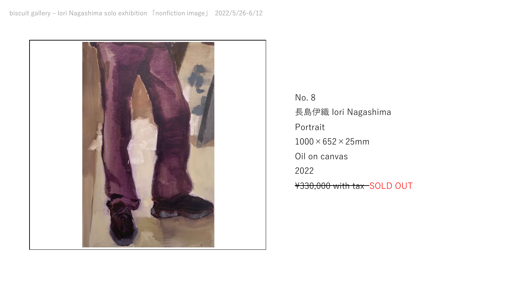

No. 8 ⻑島伊織 Iori Nagashima Portrait  $1000\times 652\times 25$ mm Oil on canvas 2022 \330,000 with tax SOLD OUT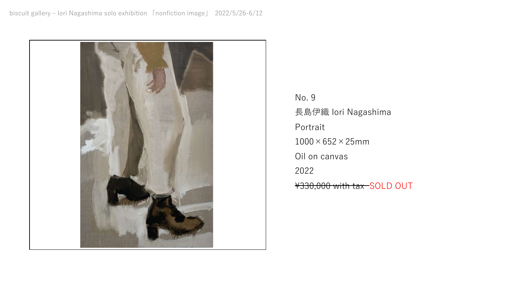

No. 9 ⻑島伊織 Iori Nagashima Portrait  $1000\times 652\times 25$ mm Oil on canvas 2022 \330,000 with tax SOLD OUT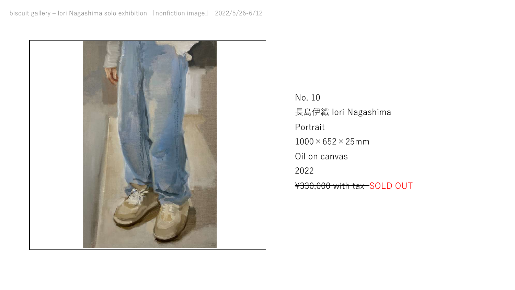

No. 10 ⻑島伊織 Iori Nagashima Portrait  $1000\times 652\times 25$ mm Oil on canvas 2022 \330,000 with tax SOLD OUT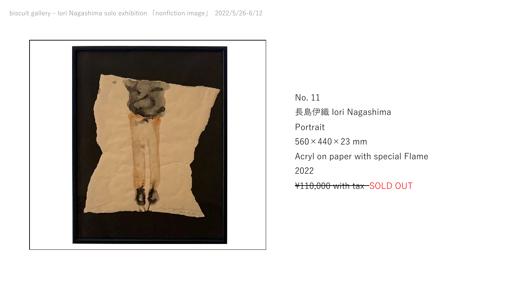

No. 11 ⻑島伊織 Iori Nagashima Portrait  $560 \times 440 \times 23$  mm Acryl on paper with special Flame 2022 \110,000 with tax SOLD OUT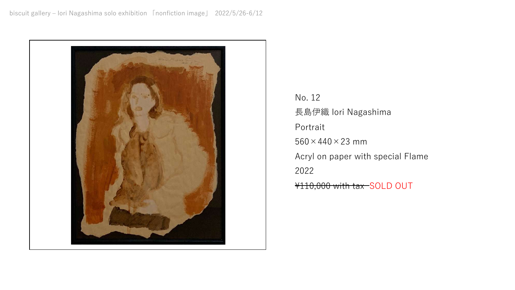

No. 12 ⻑島伊織 Iori Nagashima Portrait  $560 \times 440 \times 23$  mm Acryl on paper with special Flame 2022 ¥110,000 with tax SOLD OUT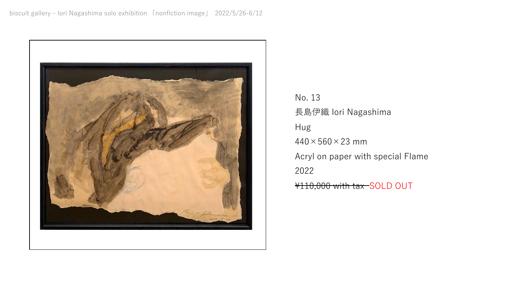

No. 13 ⻑島伊織 Iori Nagashima Hug  $440 \times 560 \times 23$  mm Acryl on paper with special Flame 2022 ¥110,000 with tax SOLD OUT